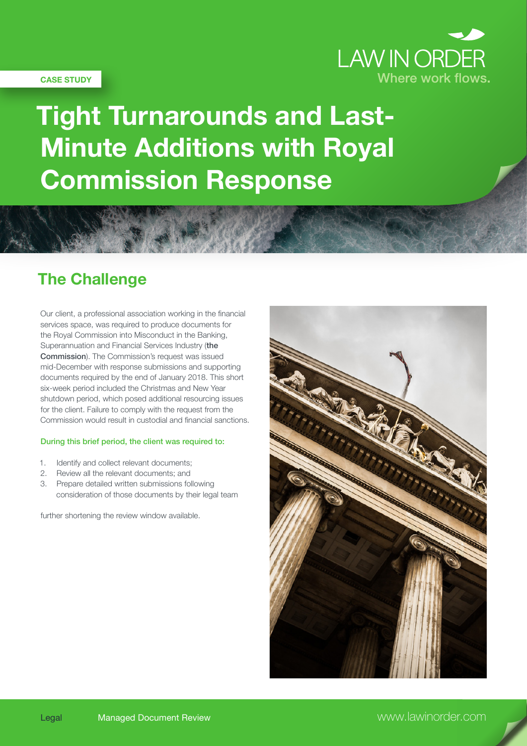

#### **CASE STUDY**

# **Tight Turnarounds and Last-Minute Additions with Royal Commission Response**

### **The Challenge**

Our client, a professional association working in the financial services space, was required to produce documents for the Royal Commission into Misconduct in the Banking, Superannuation and Financial Services Industry (the Commission). The Commission's request was issued mid-December with response submissions and supporting documents required by the end of January 2018. This short six-week period included the Christmas and New Year shutdown period, which posed additional resourcing issues for the client. Failure to comply with the request from the Commission would result in custodial and financial sanctions.

#### During this brief period, the client was required to:

- 1. Identify and collect relevant documents;
- 2. Review all the relevant documents; and
- 3. Prepare detailed written submissions following consideration of those documents by their legal team

further shortening the review window available.